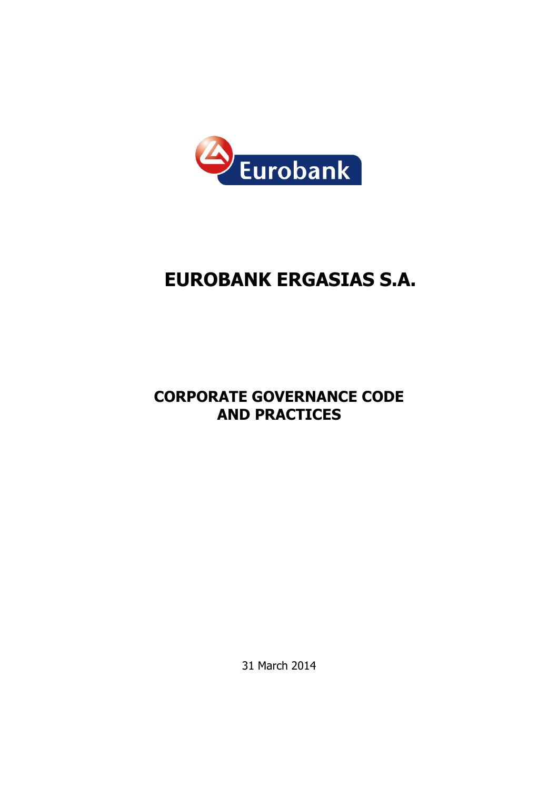

# EUROBANK ERGASIΑS S.A.

## CORPORATE GOVERNANCE CODE AND PRACTICES

31 March 2014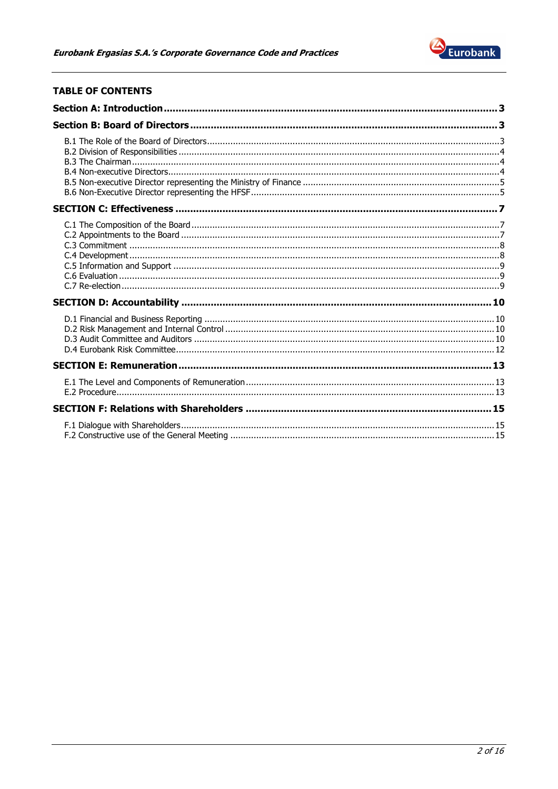

## **TABLE OF CONTENTS**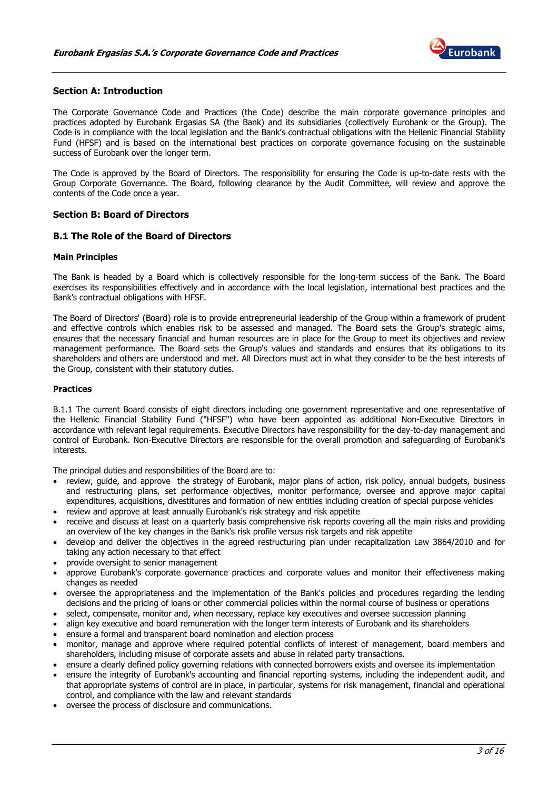

## Section A: Introduction

The Corporate Governance Code and Practices (the Code) describe the main corporate governance principles and practices adopted by Eurobank Ergasias SA (the Bank) and its subsidiaries (collectively Eurobank or the Group). The Code is in compliance with the local legislation and the Bank's contractual obligations with the Hellenic Financial Stability Fund (HFSF) and is based on the international best practices on corporate governance focusing on the sustainable success of Eurobank over the longer term.

The Code is approved by the Board of Directors. The responsibility for ensuring the Code is up-to-date rests with the Group Corporate Governance. The Board, following clearance by the Audit Committee, will review and approve the contents of the Code once a year.

## Section B: Board of Directors

## B.1 The Role of the Board of Directors

## Main Principles

The Bank is headed by a Board which is collectively responsible for the long-term success of the Bank. The Board exercises its responsibilities effectively and in accordance with the local legislation, international best practices and the Bank's contractual obligations with HFSF.

The Board of Directors' (Board) role is to provide entrepreneurial leadership of the Group within a framework of prudent and effective controls which enables risk to be assessed and managed. The Board sets the Group's strategic aims, ensures that the necessary financial and human resources are in place for the Group to meet its objectives and review management performance. The Board sets the Group's values and standards and ensures that its obligations to its shareholders and others are understood and met. All Directors must act in what they consider to be the best interests of the Group, consistent with their statutory duties.

## Practices

B.1.1 The current Board consists of eight directors including one government representative and one representative of the Hellenic Financial Stability Fund ("HFSF") who have been appointed as additional Non-Executive Directors in accordance with relevant legal requirements. Executive Directors have responsibility for the day-to-day management and control of Eurobank. Non-Executive Directors are responsible for the overall promotion and safeguarding of Eurobank's interests.

The principal duties and responsibilities of the Board are to:

- review, guide, and approve the strategy of Eurobank, major plans of action, risk policy, annual budgets, business and restructuring plans, set performance objectives, monitor performance, oversee and approve major capital expenditures, acquisitions, divestitures and formation of new entities including creation of special purpose vehicles
- review and approve at least annually Eurobank's risk strategy and risk appetite
- receive and discuss at least on a quarterly basis comprehensive risk reports covering all the main risks and providing an overview of the key changes in the Bank's risk profile versus risk targets and risk appetite
- develop and deliver the objectives in the agreed restructuring plan under recapitalization Law 3864/2010 and for taking any action necessary to that effect
- provide oversight to senior management
- approve Eurobank's corporate governance practices and corporate values and monitor their effectiveness making changes as needed
- oversee the appropriateness and the implementation of the Bank's policies and procedures regarding the lending decisions and the pricing of loans or other commercial policies within the normal course of business or operations
- select, compensate, monitor and, when necessary, replace key executives and oversee succession planning
- align key executive and board remuneration with the longer term interests of Eurobank and its shareholders
- ensure a formal and transparent board nomination and election process
- monitor, manage and approve where required potential conflicts of interest of management, board members and shareholders, including misuse of corporate assets and abuse in related party transactions.
- ensure a clearly defined policy governing relations with connected borrowers exists and oversee its implementation
- ensure the integrity of Eurobank's accounting and financial reporting systems, including the independent audit, and that appropriate systems of control are in place, in particular, systems for risk management, financial and operational control, and compliance with the law and relevant standards
- oversee the process of disclosure and communications.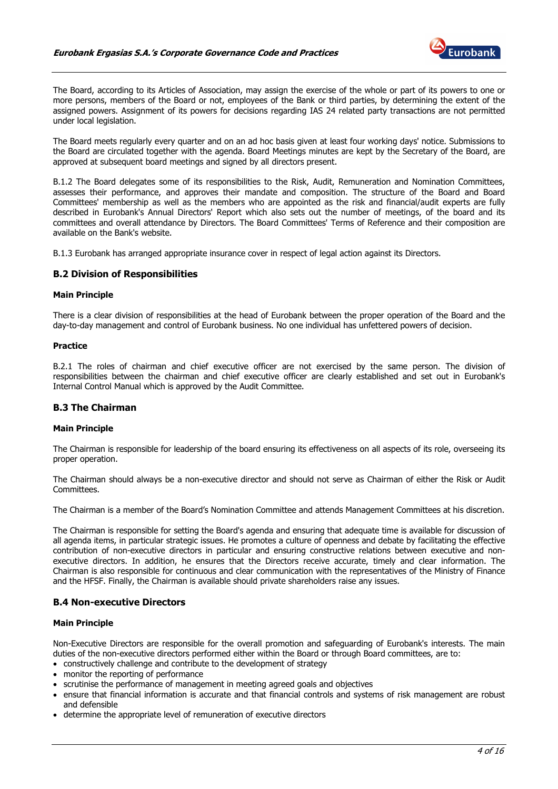

The Board, according to its Articles of Association, may assign the exercise of the whole or part of its powers to one or more persons, members of the Board or not, employees of the Bank or third parties, by determining the extent of the assigned powers. Assignment of its powers for decisions regarding IAS 24 related party transactions are not permitted under local legislation.

The Board meets regularly every quarter and on an ad hoc basis given at least four working days' notice. Submissions to the Board are circulated together with the agenda. Board Meetings minutes are kept by the Secretary of the Board, are approved at subsequent board meetings and signed by all directors present.

B.1.2 The Board delegates some of its responsibilities to the Risk, Audit, Remuneration and Nomination Committees, assesses their performance, and approves their mandate and composition. The structure of the Board and Board Committees' membership as well as the members who are appointed as the risk and financial/audit experts are fully described in Eurobank's Annual Directors' Report which also sets out the number of meetings, of the board and its committees and overall attendance by Directors. The Board Committees' Terms of Reference and their composition are available on the Bank's website.

B.1.3 Eurobank has arranged appropriate insurance cover in respect of legal action against its Directors.

## B.2 Division of Responsibilities

#### Main Principle

There is a clear division of responsibilities at the head of Eurobank between the proper operation of the Board and the day-to-day management and control of Eurobank business. No one individual has unfettered powers of decision.

## Practice

B.2.1 The roles of chairman and chief executive officer are not exercised by the same person. The division of responsibilities between the chairman and chief executive officer are clearly established and set out in Eurobank's Internal Control Manual which is approved by the Audit Committee.

## B.3 The Chairman

## Main Principle

The Chairman is responsible for leadership of the board ensuring its effectiveness on all aspects of its role, overseeing its proper operation.

The Chairman should always be a non-executive director and should not serve as Chairman of either the Risk or Audit **Committees** 

The Chairman is a member of the Board's Nomination Committee and attends Management Committees at his discretion.

The Chairman is responsible for setting the Board's agenda and ensuring that adequate time is available for discussion of all agenda items, in particular strategic issues. He promotes a culture of openness and debate by facilitating the effective contribution of non-executive directors in particular and ensuring constructive relations between executive and nonexecutive directors. In addition, he ensures that the Directors receive accurate, timely and clear information. The Chairman is also responsible for continuous and clear communication with the representatives of the Ministry of Finance and the HFSF. Finally, the Chairman is available should private shareholders raise any issues.

## B.4 Non-executive Directors

## Main Principle

Non-Executive Directors are responsible for the overall promotion and safeguarding of Eurobank's interests. The main duties of the non-executive directors performed either within the Board or through Board committees, are to:

- constructively challenge and contribute to the development of strategy
- monitor the reporting of performance
- scrutinise the performance of management in meeting agreed goals and objectives
- ensure that financial information is accurate and that financial controls and systems of risk management are robust and defensible
- determine the appropriate level of remuneration of executive directors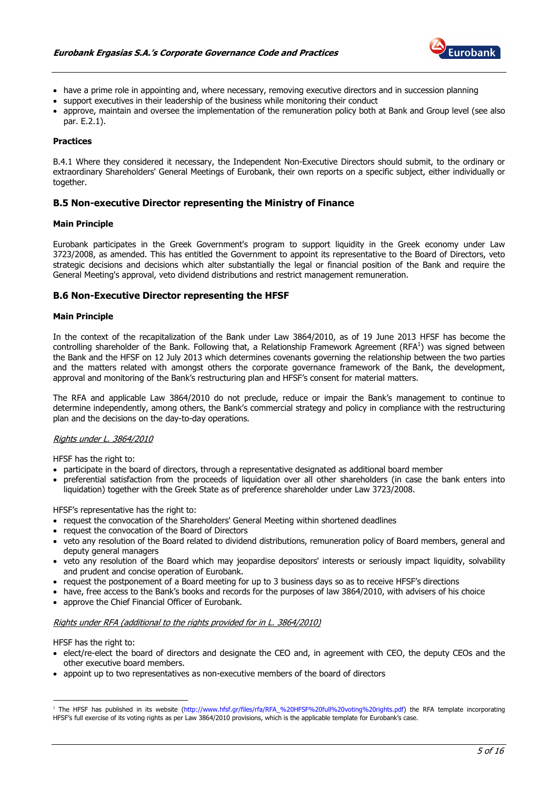

- have a prime role in appointing and, where necessary, removing executive directors and in succession planning
- support executives in their leadership of the business while monitoring their conduct
- approve, maintain and oversee the implementation of the remuneration policy both at Bank and Group level (see also par. E.2.1).

## Practices

B.4.1 Where they considered it necessary, the Independent Non-Executive Directors should submit, to the ordinary or extraordinary Shareholders' General Meetings of Eurobank, their own reports on a specific subject, either individually or together.

## B.5 Non-executive Director representing the Ministry of Finance

#### Main Principle

Eurobank participates in the Greek Government's program to support liquidity in the Greek economy under Law 3723/2008, as amended. This has entitled the Government to appoint its representative to the Board of Directors, veto strategic decisions and decisions which alter substantially the legal or financial position of the Bank and require the General Meeting's approval, veto dividend distributions and restrict management remuneration.

## B.6 Non-Executive Director representing the HFSF

#### Main Principle

In the context of the recapitalization of the Bank under Law 3864/2010, as of 19 June 2013 HFSF has become the controlling shareholder of the Bank. Following that, a Relationship Framework Agreement (RFA<sup>1</sup>) was signed between the Bank and the HFSF on 12 July 2013 which determines covenants governing the relationship between the two parties and the matters related with amongst others the corporate governance framework of the Bank, the development, approval and monitoring of the Bank's restructuring plan and HFSF's consent for material matters.

The RFA and applicable Law 3864/2010 do not preclude, reduce or impair the Bank's management to continue to determine independently, among others, the Bank's commercial strategy and policy in compliance with the restructuring plan and the decisions on the day-to-day operations.

#### Rights under L. 3864/2010

HFSF has the right to:

- participate in the board of directors, through a representative designated as additional board member
- preferential satisfaction from the proceeds of liquidation over all other shareholders (in case the bank enters into liquidation) together with the Greek State as of preference shareholder under Law 3723/2008.

HFSF's representative has the right to:

- request the convocation of the Shareholders' General Meeting within shortened deadlines
- request the convocation of the Board of Directors
- veto any resolution of the Board related to dividend distributions, remuneration policy of Board members, general and deputy general managers
- veto any resolution of the Board which may jeopardise depositors' interests or seriously impact liquidity, solvability and prudent and concise operation of Eurobank.
- request the postponement of a Board meeting for up to 3 business days so as to receive HFSF's directions
- have, free access to the Bank's books and records for the purposes of law 3864/2010, with advisers of his choice
- approve the Chief Financial Officer of Eurobank.

#### Rights under RFA (additional to the rights provided for in L. 3864/2010)

HFSF has the right to:

 $\overline{a}$ 

- elect/re-elect the board of directors and designate the CEO and, in agreement with CEO, the deputy CEOs and the other executive board members.
- appoint up to two representatives as non-executive members of the board of directors

<sup>&</sup>lt;sup>1</sup> The HFSF has published in its website (http://www.hfsf.gr/files/rfa/RFA\_%20HFSF%20full%20voting%20rights.pdf) the RFA template incorporating HFSF's full exercise of its voting rights as per Law 3864/2010 provisions, which is the applicable template for Eurobank's case.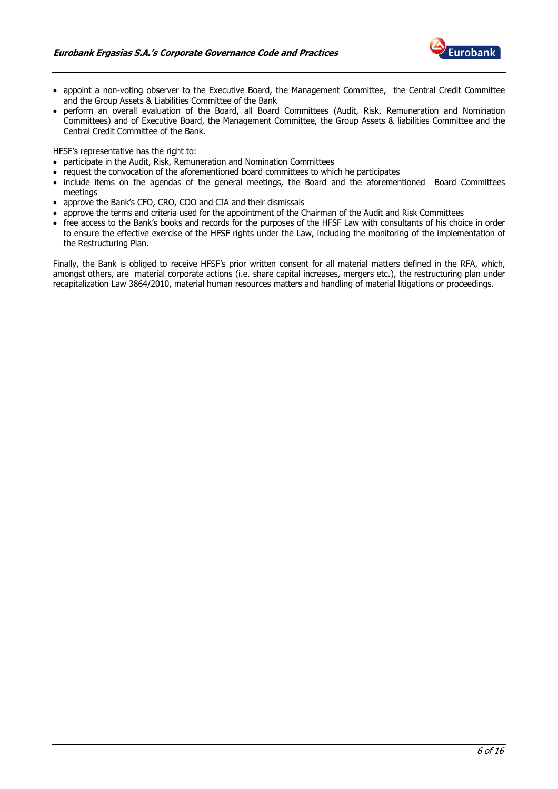

- appoint a non-voting observer to the Executive Board, the Management Committee, the Central Credit Committee and the Group Assets & Liabilities Committee of the Bank
- perform an overall evaluation of the Board, all Board Committees (Audit, Risk, Remuneration and Nomination Committees) and of Executive Board, the Management Committee, the Group Assets & liabilities Committee and the Central Credit Committee of the Bank.

HFSF's representative has the right to:

- participate in the Audit, Risk, Remuneration and Nomination Committees
- request the convocation of the aforementioned board committees to which he participates
- include items on the agendas of the general meetings, the Board and the aforementioned Board Committees meetings
- approve the Bank's CFO, CRO, COO and CIA and their dismissals
- approve the terms and criteria used for the appointment of the Chairman of the Audit and Risk Committees
- free access to the Bank's books and records for the purposes of the HFSF Law with consultants of his choice in order to ensure the effective exercise of the HFSF rights under the Law, including the monitoring of the implementation of the Restructuring Plan.

Finally, the Bank is obliged to receive HFSF's prior written consent for all material matters defined in the RFA, which, amongst others, are material corporate actions (i.e. share capital increases, mergers etc.), the restructuring plan under recapitalization Law 3864/2010, material human resources matters and handling of material litigations or proceedings.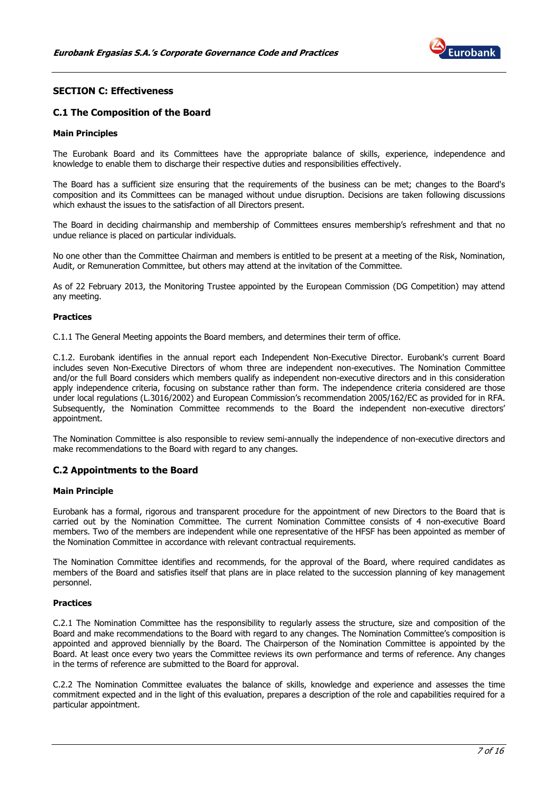

## SECTION C: Effectiveness

## C.1 The Composition of the Board

## Main Principles

The Eurobank Board and its Committees have the appropriate balance of skills, experience, independence and knowledge to enable them to discharge their respective duties and responsibilities effectively.

The Board has a sufficient size ensuring that the requirements of the business can be met; changes to the Board's composition and its Committees can be managed without undue disruption. Decisions are taken following discussions which exhaust the issues to the satisfaction of all Directors present.

The Board in deciding chairmanship and membership of Committees ensures membership's refreshment and that no undue reliance is placed on particular individuals.

No one other than the Committee Chairman and members is entitled to be present at a meeting of the Risk, Nomination, Audit, or Remuneration Committee, but others may attend at the invitation of the Committee.

As of 22 February 2013, the Monitoring Trustee appointed by the European Commission (DG Competition) may attend any meeting.

## **Practices**

C.1.1 The General Meeting appoints the Board members, and determines their term of office.

C.1.2. Eurobank identifies in the annual report each Independent Non-Executive Director. Eurobank's current Board includes seven Non-Executive Directors of whom three are independent non-executives. The Nomination Committee and/or the full Board considers which members qualify as independent non-executive directors and in this consideration apply independence criteria, focusing on substance rather than form. The independence criteria considered are those under local regulations (L.3016/2002) and European Commission's recommendation 2005/162/EC as provided for in RFA. Subsequently, the Nomination Committee recommends to the Board the independent non-executive directors' appointment.

The Nomination Committee is also responsible to review semi-annually the independence of non-executive directors and make recommendations to the Board with regard to any changes.

## C.2 Appointments to the Board

#### Main Principle

Eurobank has a formal, rigorous and transparent procedure for the appointment of new Directors to the Board that is carried out by the Nomination Committee. The current Nomination Committee consists of 4 non-executive Board members. Two of the members are independent while one representative of the HFSF has been appointed as member of the Nomination Committee in accordance with relevant contractual requirements.

The Nomination Committee identifies and recommends, for the approval of the Board, where required candidates as members of the Board and satisfies itself that plans are in place related to the succession planning of key management personnel.

#### Practices

C.2.1 The Nomination Committee has the responsibility to regularly assess the structure, size and composition of the Board and make recommendations to the Board with regard to any changes. The Nomination Committee's composition is appointed and approved biennially by the Board. The Chairperson of the Nomination Committee is appointed by the Board. At least once every two years the Committee reviews its own performance and terms of reference. Any changes in the terms of reference are submitted to the Board for approval.

C.2.2 The Nomination Committee evaluates the balance of skills, knowledge and experience and assesses the time commitment expected and in the light of this evaluation, prepares a description of the role and capabilities required for a particular appointment.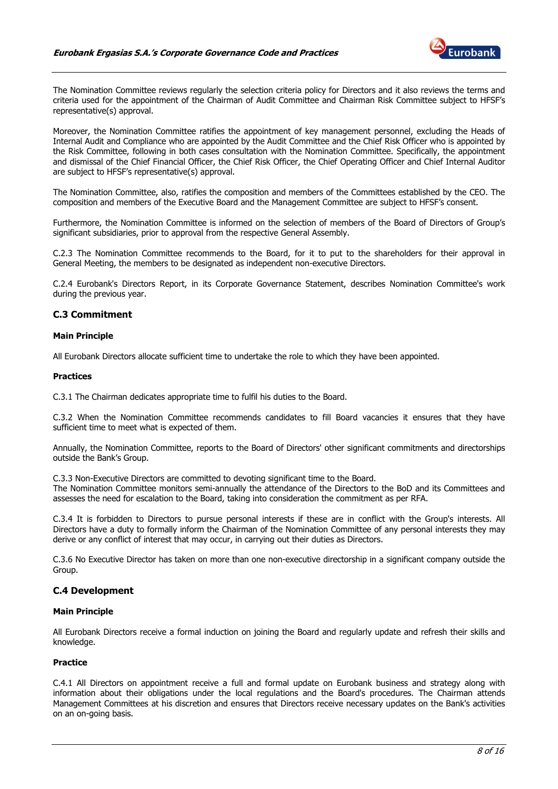

The Nomination Committee reviews regularly the selection criteria policy for Directors and it also reviews the terms and criteria used for the appointment of the Chairman of Audit Committee and Chairman Risk Committee subject to HFSF's representative(s) approval.

Moreover, the Nomination Committee ratifies the appointment of key management personnel, excluding the Heads of Internal Audit and Compliance who are appointed by the Audit Committee and the Chief Risk Officer who is appointed by the Risk Committee, following in both cases consultation with the Nomination Committee. Specifically, the appointment and dismissal of the Chief Financial Officer, the Chief Risk Officer, the Chief Operating Officer and Chief Internal Auditor are subject to HFSF's representative(s) approval.

The Nomination Committee, also, ratifies the composition and members of the Committees established by the CEO. The composition and members of the Executive Board and the Management Committee are subject to HFSF's consent.

Furthermore, the Nomination Committee is informed on the selection of members of the Board of Directors of Group's significant subsidiaries, prior to approval from the respective General Assembly.

C.2.3 The Nomination Committee recommends to the Board, for it to put to the shareholders for their approval in General Meeting, the members to be designated as independent non-executive Directors.

C.2.4 Eurobank's Directors Report, in its Corporate Governance Statement, describes Nomination Committee's work during the previous year.

## C.3 Commitment

## Main Principle

All Eurobank Directors allocate sufficient time to undertake the role to which they have been appointed.

#### **Practices**

C.3.1 The Chairman dedicates appropriate time to fulfil his duties to the Board.

C.3.2 When the Nomination Committee recommends candidates to fill Board vacancies it ensures that they have sufficient time to meet what is expected of them.

Annually, the Nomination Committee, reports to the Board of Directors' other significant commitments and directorships outside the Bank's Group.

C.3.3 Non-Executive Directors are committed to devoting significant time to the Board.

The Nomination Committee monitors semi-annually the attendance of the Directors to the BoD and its Committees and assesses the need for escalation to the Board, taking into consideration the commitment as per RFA.

C.3.4 It is forbidden to Directors to pursue personal interests if these are in conflict with the Group's interests. All Directors have a duty to formally inform the Chairman of the Nomination Committee of any personal interests they may derive or any conflict of interest that may occur, in carrying out their duties as Directors.

C.3.6 No Executive Director has taken on more than one non-executive directorship in a significant company outside the Group.

## C.4 Development

#### Main Principle

All Eurobank Directors receive a formal induction on joining the Board and regularly update and refresh their skills and knowledge.

## Practice

C.4.1 All Directors on appointment receive a full and formal update on Eurobank business and strategy along with information about their obligations under the local regulations and the Board's procedures. The Chairman attends Management Committees at his discretion and ensures that Directors receive necessary updates on the Bank's activities on an on-going basis.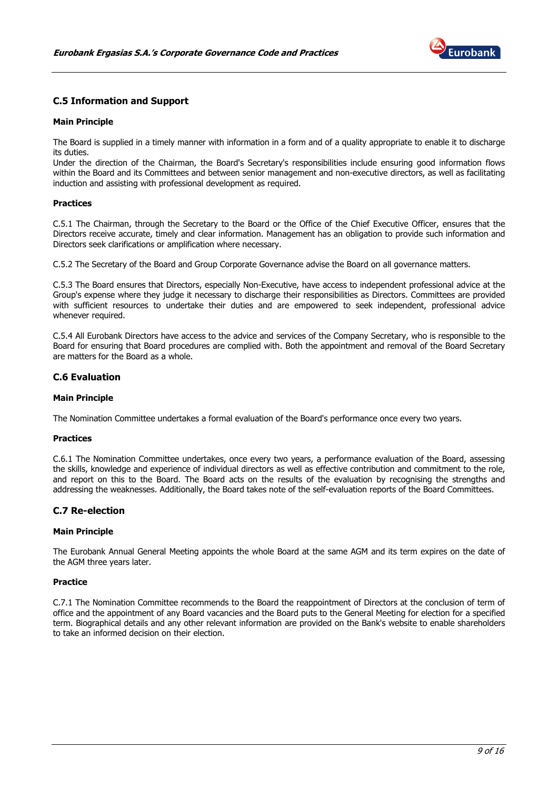

## C.5 Information and Support

## Main Principle

The Board is supplied in a timely manner with information in a form and of a quality appropriate to enable it to discharge its duties.

Under the direction of the Chairman, the Board's Secretary's responsibilities include ensuring good information flows within the Board and its Committees and between senior management and non-executive directors, as well as facilitating induction and assisting with professional development as required.

## Practices

C.5.1 The Chairman, through the Secretary to the Board or the Office of the Chief Executive Officer, ensures that the Directors receive accurate, timely and clear information. Management has an obligation to provide such information and Directors seek clarifications or amplification where necessary.

C.5.2 The Secretary of the Board and Group Corporate Governance advise the Board on all governance matters.

C.5.3 The Board ensures that Directors, especially Non-Executive, have access to independent professional advice at the Group's expense where they judge it necessary to discharge their responsibilities as Directors. Committees are provided with sufficient resources to undertake their duties and are empowered to seek independent, professional advice whenever required.

C.5.4 All Eurobank Directors have access to the advice and services of the Company Secretary, who is responsible to the Board for ensuring that Board procedures are complied with. Both the appointment and removal of the Board Secretary are matters for the Board as a whole.

## C.6 Evaluation

## Main Principle

The Nomination Committee undertakes a formal evaluation of the Board's performance once every two years.

## **Practices**

C.6.1 The Nomination Committee undertakes, once every two years, a performance evaluation of the Board, assessing the skills, knowledge and experience of individual directors as well as effective contribution and commitment to the role, and report on this to the Board. The Board acts on the results of the evaluation by recognising the strengths and addressing the weaknesses. Additionally, the Board takes note of the self-evaluation reports of the Board Committees.

## C.7 Re-election

## Main Principle

The Eurobank Annual General Meeting appoints the whole Board at the same AGM and its term expires on the date of the AGM three years later.

## Practice

C.7.1 The Nomination Committee recommends to the Board the reappointment of Directors at the conclusion of term of office and the appointment of any Board vacancies and the Board puts to the General Meeting for election for a specified term. Biographical details and any other relevant information are provided on the Bank's website to enable shareholders to take an informed decision on their election.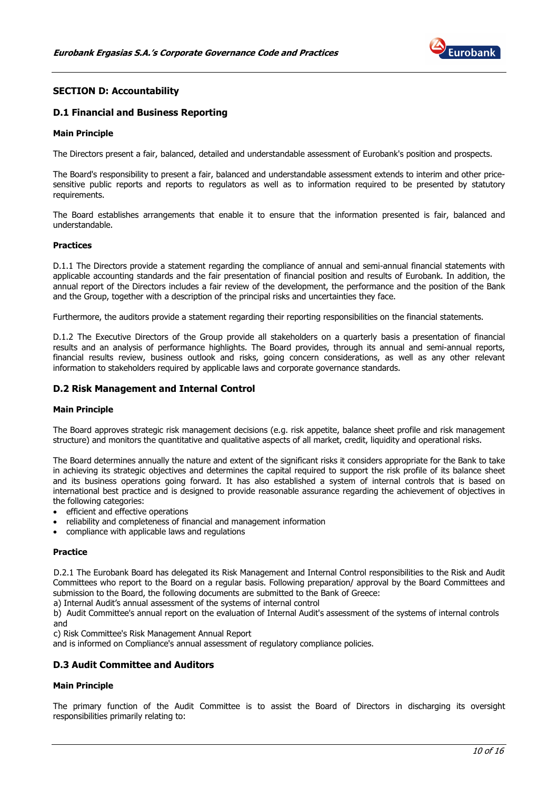

## SECTION D: Accountability

## D.1 Financial and Business Reporting

## Main Principle

The Directors present a fair, balanced, detailed and understandable assessment of Eurobank's position and prospects.

The Board's responsibility to present a fair, balanced and understandable assessment extends to interim and other pricesensitive public reports and reports to regulators as well as to information required to be presented by statutory requirements.

The Board establishes arrangements that enable it to ensure that the information presented is fair, balanced and understandable.

## Practices

D.1.1 The Directors provide a statement regarding the compliance of annual and semi-annual financial statements with applicable accounting standards and the fair presentation of financial position and results of Eurobank. In addition, the annual report of the Directors includes a fair review of the development, the performance and the position of the Bank and the Group, together with a description of the principal risks and uncertainties they face.

Furthermore, the auditors provide a statement regarding their reporting responsibilities on the financial statements.

D.1.2 The Executive Directors of the Group provide all stakeholders on a quarterly basis a presentation of financial results and an analysis of performance highlights. The Board provides, through its annual and semi-annual reports, financial results review, business outlook and risks, going concern considerations, as well as any other relevant information to stakeholders required by applicable laws and corporate governance standards.

## D.2 Risk Management and Internal Control

#### Main Principle

The Board approves strategic risk management decisions (e.g. risk appetite, balance sheet profile and risk management structure) and monitors the quantitative and qualitative aspects of all market, credit, liquidity and operational risks.

The Board determines annually the nature and extent of the significant risks it considers appropriate for the Bank to take in achieving its strategic objectives and determines the capital required to support the risk profile of its balance sheet and its business operations going forward. It has also established a system of internal controls that is based on international best practice and is designed to provide reasonable assurance regarding the achievement of objectives in the following categories:

- efficient and effective operations
- reliability and completeness of financial and management information
- compliance with applicable laws and regulations

#### Practice

D.2.1 The Eurobank Board has delegated its Risk Management and Internal Control responsibilities to the Risk and Audit Committees who report to the Board on a regular basis. Following preparation/ approval by the Board Committees and submission to the Board, the following documents are submitted to the Bank of Greece:

a) Internal Audit's annual assessment of the systems of internal control

b) Audit Committee's annual report on the evaluation of Internal Audit's assessment of the systems of internal controls and

c) Risk Committee's Risk Management Annual Report

and is informed on Compliance's annual assessment of regulatory compliance policies.

## D.3 Audit Committee and Auditors

## Main Principle

The primary function of the Audit Committee is to assist the Board of Directors in discharging its oversight responsibilities primarily relating to: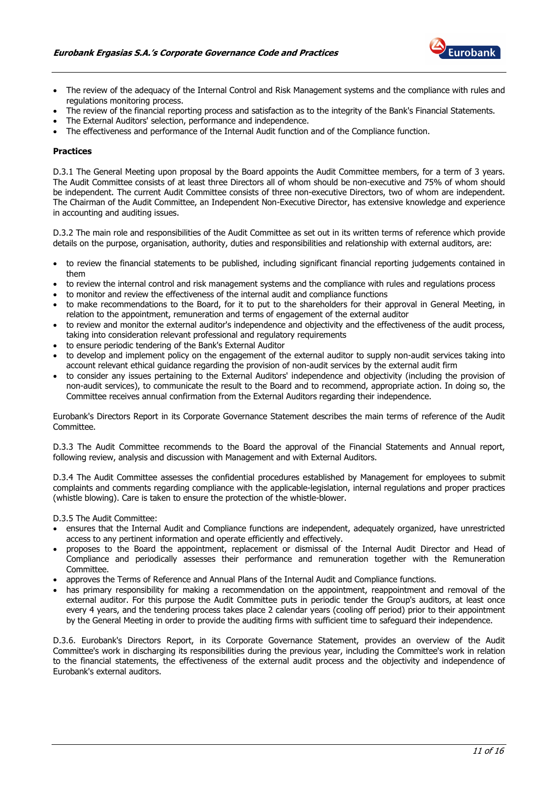

- The review of the adequacy of the Internal Control and Risk Management systems and the compliance with rules and regulations monitoring process.
- The review of the financial reporting process and satisfaction as to the integrity of the Bank's Financial Statements.
- The External Auditors' selection, performance and independence.
- The effectiveness and performance of the Internal Audit function and of the Compliance function.

#### Practices

D.3.1 The General Meeting upon proposal by the Board appoints the Audit Committee members, for a term of 3 years. The Audit Committee consists of at least three Directors all of whom should be non-executive and 75% of whom should be independent. The current Audit Committee consists of three non-executive Directors, two of whom are independent. The Chairman of the Audit Committee, an Independent Non-Executive Director, has extensive knowledge and experience in accounting and auditing issues.

D.3.2 The main role and responsibilities of the Audit Committee as set out in its written terms of reference which provide details on the purpose, organisation, authority, duties and responsibilities and relationship with external auditors, are:

- to review the financial statements to be published, including significant financial reporting judgements contained in them
- to review the internal control and risk management systems and the compliance with rules and regulations process
- to monitor and review the effectiveness of the internal audit and compliance functions
- to make recommendations to the Board, for it to put to the shareholders for their approval in General Meeting, in relation to the appointment, remuneration and terms of engagement of the external auditor
- to review and monitor the external auditor's independence and objectivity and the effectiveness of the audit process, taking into consideration relevant professional and regulatory requirements
- to ensure periodic tendering of the Bank's External Auditor
- to develop and implement policy on the engagement of the external auditor to supply non-audit services taking into account relevant ethical guidance regarding the provision of non-audit services by the external audit firm
- to consider any issues pertaining to the External Auditors' independence and objectivity (including the provision of non-audit services), to communicate the result to the Board and to recommend, appropriate action. In doing so, the Committee receives annual confirmation from the External Auditors regarding their independence.

Eurobank's Directors Report in its Corporate Governance Statement describes the main terms of reference of the Audit Committee.

D.3.3 The Audit Committee recommends to the Board the approval of the Financial Statements and Annual report, following review, analysis and discussion with Management and with External Auditors.

D.3.4 The Audit Committee assesses the confidential procedures established by Management for employees to submit complaints and comments regarding compliance with the applicable-legislation, internal regulations and proper practices (whistle blowing). Care is taken to ensure the protection of the whistle-blower.

D.3.5 The Audit Committee:

- ensures that the Internal Audit and Compliance functions are independent, adequately organized, have unrestricted access to any pertinent information and operate efficiently and effectively.
- proposes to the Board the appointment, replacement or dismissal of the Internal Audit Director and Head of Compliance and periodically assesses their performance and remuneration together with the Remuneration Committee.
- approves the Terms of Reference and Annual Plans of the Internal Audit and Compliance functions.
- has primary responsibility for making a recommendation on the appointment, reappointment and removal of the external auditor. For this purpose the Audit Committee puts in periodic tender the Group's auditors, at least once every 4 years, and the tendering process takes place 2 calendar years (cooling off period) prior to their appointment by the General Meeting in order to provide the auditing firms with sufficient time to safeguard their independence.

D.3.6. Eurobank's Directors Report, in its Corporate Governance Statement, provides an overview of the Audit Committee's work in discharging its responsibilities during the previous year, including the Committee's work in relation to the financial statements, the effectiveness of the external audit process and the objectivity and independence of Eurobank's external auditors.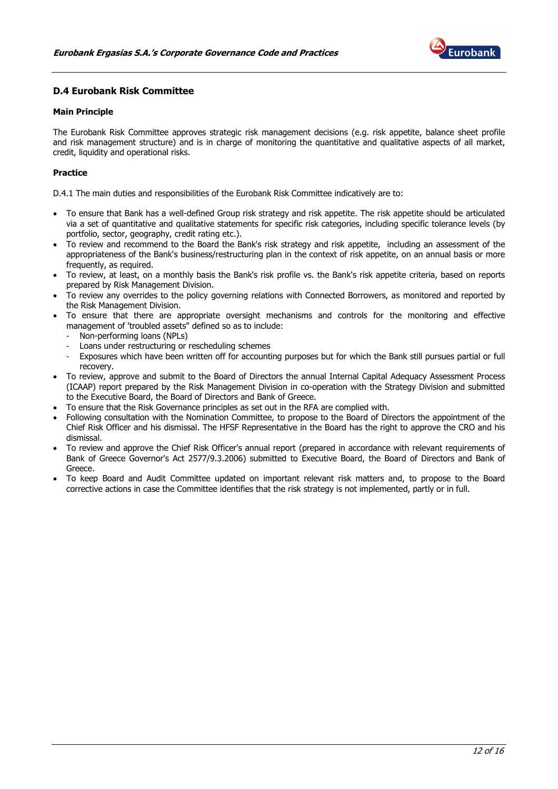

## D.4 Eurobank Risk Committee

## Main Principle

The Eurobank Risk Committee approves strategic risk management decisions (e.g. risk appetite, balance sheet profile and risk management structure) and is in charge of monitoring the quantitative and qualitative aspects of all market, credit, liquidity and operational risks.

## Practice

D.4.1 The main duties and responsibilities of the Eurobank Risk Committee indicatively are to:

- To ensure that Bank has a well-defined Group risk strategy and risk appetite. The risk appetite should be articulated via a set of quantitative and qualitative statements for specific risk categories, including specific tolerance levels (by portfolio, sector, geography, credit rating etc.).
- To review and recommend to the Board the Bank's risk strategy and risk appetite, including an assessment of the appropriateness of the Bank's business/restructuring plan in the context of risk appetite, on an annual basis or more frequently, as required.
- To review, at least, on a monthly basis the Bank's risk profile vs. the Bank's risk appetite criteria, based on reports prepared by Risk Management Division.
- To review any overrides to the policy governing relations with Connected Borrowers, as monitored and reported by the Risk Management Division.
- To ensure that there are appropriate oversight mechanisms and controls for the monitoring and effective management of 'troubled assets" defined so as to include:
	- Non-performing loans (NPLs)
	- Loans under restructuring or rescheduling schemes
	- Exposures which have been written off for accounting purposes but for which the Bank still pursues partial or full recovery.
- To review, approve and submit to the Board of Directors the annual Internal Capital Adequacy Assessment Process (ICAAP) report prepared by the Risk Management Division in co-operation with the Strategy Division and submitted to the Executive Board, the Board of Directors and Bank of Greece.
- To ensure that the Risk Governance principles as set out in the RFA are complied with.
- Following consultation with the Nomination Committee, to propose to the Board of Directors the appointment of the Chief Risk Officer and his dismissal. The HFSF Representative in the Board has the right to approve the CRO and his dismissal.
- To review and approve the Chief Risk Officer's annual report (prepared in accordance with relevant requirements of Bank of Greece Governor's Act 2577/9.3.2006) submitted to Executive Board, the Board of Directors and Bank of Greece.
- To keep Board and Audit Committee updated on important relevant risk matters and, to propose to the Board corrective actions in case the Committee identifies that the risk strategy is not implemented, partly or in full.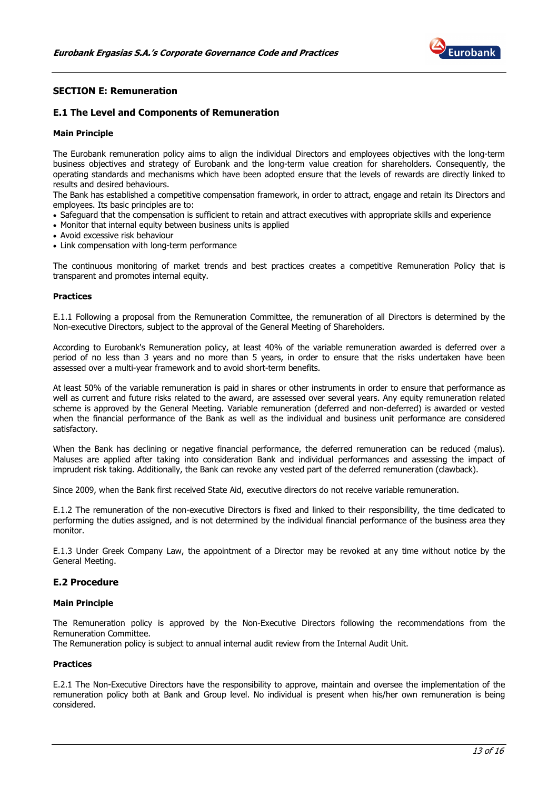

## SECTION E: Remuneration

## E.1 The Level and Components of Remuneration

## Main Principle

The Eurobank remuneration policy aims to align the individual Directors and employees objectives with the long-term business objectives and strategy of Eurobank and the long-term value creation for shareholders. Consequently, the operating standards and mechanisms which have been adopted ensure that the levels of rewards are directly linked to results and desired behaviours.

The Bank has established a competitive compensation framework, in order to attract, engage and retain its Directors and employees. Its basic principles are to:

- Safeguard that the compensation is sufficient to retain and attract executives with appropriate skills and experience
- Monitor that internal equity between business units is applied
- Avoid excessive risk behaviour
- Link compensation with long-term performance

The continuous monitoring of market trends and best practices creates a competitive Remuneration Policy that is transparent and promotes internal equity.

## **Dractices**

E.1.1 Following a proposal from the Remuneration Committee, the remuneration of all Directors is determined by the Non-executive Directors, subject to the approval of the General Meeting of Shareholders.

According to Eurobank's Remuneration policy, at least 40% of the variable remuneration awarded is deferred over a period of no less than 3 years and no more than 5 years, in order to ensure that the risks undertaken have been assessed over a multi-year framework and to avoid short-term benefits.

At least 50% of the variable remuneration is paid in shares or other instruments in order to ensure that performance as well as current and future risks related to the award, are assessed over several years. Any equity remuneration related scheme is approved by the General Meeting. Variable remuneration (deferred and non-deferred) is awarded or vested when the financial performance of the Bank as well as the individual and business unit performance are considered satisfactory.

When the Bank has declining or negative financial performance, the deferred remuneration can be reduced (malus). Maluses are applied after taking into consideration Bank and individual performances and assessing the impact of imprudent risk taking. Additionally, the Bank can revoke any vested part of the deferred remuneration (clawback).

Since 2009, when the Bank first received State Aid, executive directors do not receive variable remuneration.

E.1.2 The remuneration of the non-executive Directors is fixed and linked to their responsibility, the time dedicated to performing the duties assigned, and is not determined by the individual financial performance of the business area they monitor.

E.1.3 Under Greek Company Law, the appointment of a Director may be revoked at any time without notice by the General Meeting.

## E.2 Procedure

#### Main Principle

The Remuneration policy is approved by the Non-Executive Directors following the recommendations from the Remuneration Committee.

The Remuneration policy is subject to annual internal audit review from the Internal Audit Unit.

## **Practices**

E.2.1 The Non-Executive Directors have the responsibility to approve, maintain and oversee the implementation of the remuneration policy both at Bank and Group level. No individual is present when his/her own remuneration is being considered.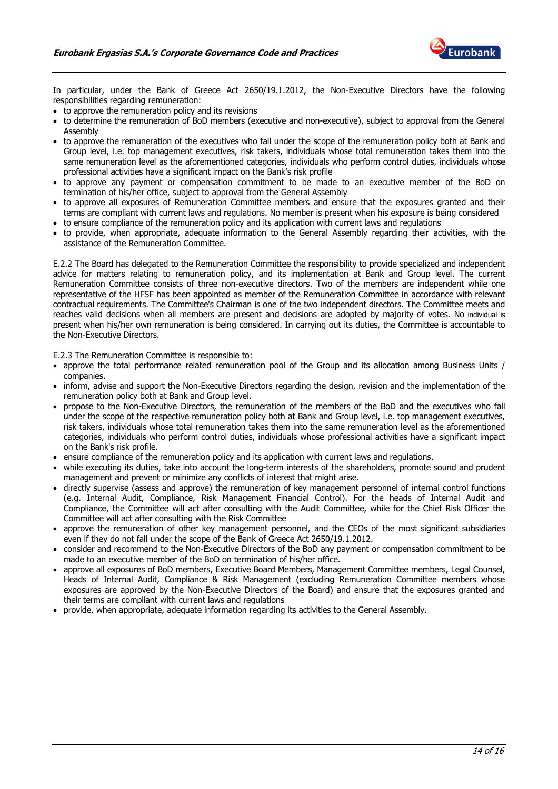

In particular, under the Bank of Greece Act 2650/19.1.2012, the Non-Executive Directors have the following responsibilities regarding remuneration:

- to approve the remuneration policy and its revisions
- to determine the remuneration of BoD members (executive and non-executive), subject to approval from the General Assembly
- to approve the remuneration of the executives who fall under the scope of the remuneration policy both at Bank and Group level, i.e. top management executives, risk takers, individuals whose total remuneration takes them into the same remuneration level as the aforementioned categories, individuals who perform control duties, individuals whose professional activities have a significant impact on the Bank's risk profile
- to approve any payment or compensation commitment to be made to an executive member of the BoD on termination of his/her office, subject to approval from the General Assembly
- to approve all exposures of Remuneration Committee members and ensure that the exposures granted and their terms are compliant with current laws and regulations. No member is present when his exposure is being considered
- to ensure compliance of the remuneration policy and its application with current laws and regulations
- to provide, when appropriate, adequate information to the General Assembly regarding their activities, with the assistance of the Remuneration Committee.

E.2.2 The Board has delegated to the Remuneration Committee the responsibility to provide specialized and independent advice for matters relating to remuneration policy, and its implementation at Bank and Group level. The current Remuneration Committee consists of three non-executive directors. Two of the members are independent while one representative of the HFSF has been appointed as member of the Remuneration Committee in accordance with relevant contractual requirements. The Committee's Chairman is one of the two independent directors. The Committee meets and reaches valid decisions when all members are present and decisions are adopted by majority of votes. No individual is present when his/her own remuneration is being considered. In carrying out its duties, the Committee is accountable to the Non-Executive Directors.

E.2.3 The Remuneration Committee is responsible to:

- approve the total performance related remuneration pool of the Group and its allocation among Business Units / companies.
- inform, advise and support the Non-Executive Directors regarding the design, revision and the implementation of the remuneration policy both at Bank and Group level.
- propose to the Non-Executive Directors, the remuneration of the members of the BoD and the executives who fall under the scope of the respective remuneration policy both at Bank and Group level, i.e. top management executives, risk takers, individuals whose total remuneration takes them into the same remuneration level as the aforementioned categories, individuals who perform control duties, individuals whose professional activities have a significant impact on the Bank's risk profile.
- ensure compliance of the remuneration policy and its application with current laws and regulations.
- while executing its duties, take into account the long-term interests of the shareholders, promote sound and prudent management and prevent or minimize any conflicts of interest that might arise.
- directly supervise (assess and approve) the remuneration of key management personnel of internal control functions (e.g. Internal Audit, Compliance, Risk Management Financial Control). For the heads of Internal Audit and Compliance, the Committee will act after consulting with the Audit Committee, while for the Chief Risk Officer the Committee will act after consulting with the Risk Committee
- approve the remuneration of other key management personnel, and the CEOs of the most significant subsidiaries even if they do not fall under the scope of the Bank of Greece Act 2650/19.1.2012.
- consider and recommend to the Non-Executive Directors of the BoD any payment or compensation commitment to be made to an executive member of the BoD on termination of his/her office.
- approve all exposures of BoD members, Executive Board Members, Management Committee members, Legal Counsel, Heads of Internal Audit, Compliance & Risk Management (excluding Remuneration Committee members whose exposures are approved by the Non-Executive Directors of the Board) and ensure that the exposures granted and their terms are compliant with current laws and regulations
- provide, when appropriate, adequate information regarding its activities to the General Assembly.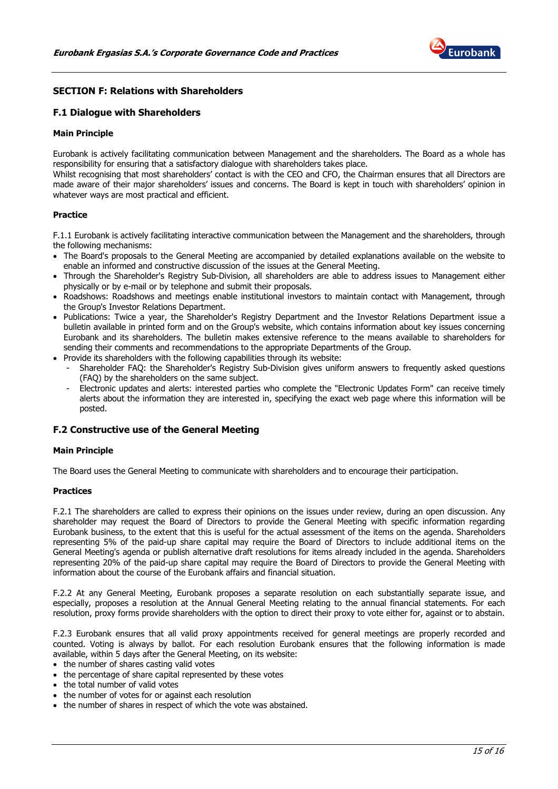

## SECTION F: Relations with Shareholders

## F.1 Dialogue with Shareholders

## Main Principle

Eurobank is actively facilitating communication between Management and the shareholders. The Board as a whole has responsibility for ensuring that a satisfactory dialogue with shareholders takes place.

Whilst recognising that most shareholders' contact is with the CEO and CFO, the Chairman ensures that all Directors are made aware of their major shareholders' issues and concerns. The Board is kept in touch with shareholders' opinion in whatever ways are most practical and efficient.

## **Practice**

F.1.1 Eurobank is actively facilitating interactive communication between the Management and the shareholders, through the following mechanisms:

- The Board's proposals to the General Meeting are accompanied by detailed explanations available on the website to enable an informed and constructive discussion of the issues at the General Meeting.
- Through the Shareholder's Registry Sub-Division, all shareholders are able to address issues to Management either physically or by e-mail or by telephone and submit their proposals.
- Roadshows: Roadshows and meetings enable institutional investors to maintain contact with Management, through the Group's Investor Relations Department.
- Publications: Twice a year, the Shareholder's Registry Department and the Investor Relations Department issue a bulletin available in printed form and on the Group's website, which contains information about key issues concerning Eurobank and its shareholders. The bulletin makes extensive reference to the means available to shareholders for sending their comments and recommendations to the appropriate Departments of the Group.
- Provide its shareholders with the following capabilities through its website:
	- Shareholder FAQ: the Shareholder's Registry Sub-Division gives uniform answers to frequently asked questions (FAQ) by the shareholders on the same subject.
	- Electronic updates and alerts: interested parties who complete the "Electronic Updates Form" can receive timely alerts about the information they are interested in, specifying the exact web page where this information will be posted.

## F.2 Constructive use of the General Meeting

## Main Principle

The Board uses the General Meeting to communicate with shareholders and to encourage their participation.

#### Practices

F.2.1 The shareholders are called to express their opinions on the issues under review, during an open discussion. Any shareholder may request the Board of Directors to provide the General Meeting with specific information regarding Eurobank business, to the extent that this is useful for the actual assessment of the items on the agenda. Shareholders representing 5% of the paid-up share capital may require the Board of Directors to include additional items on the General Meeting's agenda or publish alternative draft resolutions for items already included in the agenda. Shareholders representing 20% of the paid-up share capital may require the Board of Directors to provide the General Meeting with information about the course of the Eurobank affairs and financial situation.

F.2.2 At any General Meeting, Eurobank proposes a separate resolution on each substantially separate issue, and especially, proposes a resolution at the Annual General Meeting relating to the annual financial statements. For each resolution, proxy forms provide shareholders with the option to direct their proxy to vote either for, against or to abstain.

F.2.3 Eurobank ensures that all valid proxy appointments received for general meetings are properly recorded and counted. Voting is always by ballot. For each resolution Eurobank ensures that the following information is made available, within 5 days after the General Meeting, on its website:

- the number of shares casting valid votes
- the percentage of share capital represented by these votes
- the total number of valid votes
- the number of votes for or against each resolution
- the number of shares in respect of which the vote was abstained.